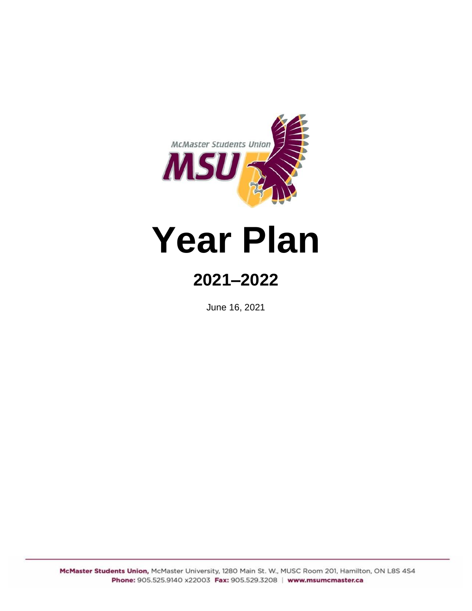

# **Year Plan**

## **2021–2022**

June 16, 2021

McMaster Students Union, McMaster University, 1280 Main St. W., MUSC Room 201, Hamilton, ON L8S 4S4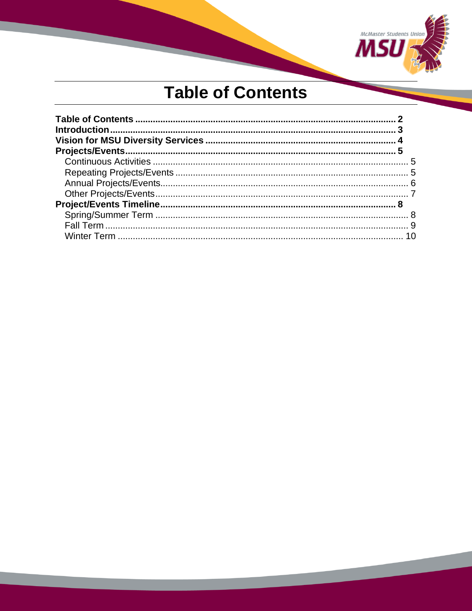

## **Table of Contents**

<span id="page-1-0"></span>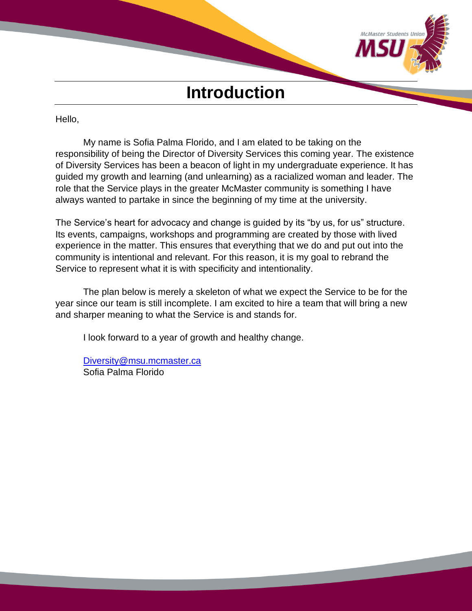

#### <span id="page-2-0"></span>Hello,

My name is Sofia Palma Florido, and I am elated to be taking on the responsibility of being the Director of Diversity Services this coming year. The existence of Diversity Services has been a beacon of light in my undergraduate experience. It has guided my growth and learning (and unlearning) as a racialized woman and leader. The role that the Service plays in the greater McMaster community is something I have always wanted to partake in since the beginning of my time at the university.

The Service's heart for advocacy and change is guided by its "by us, for us" structure. Its events, campaigns, workshops and programming are created by those with lived experience in the matter. This ensures that everything that we do and put out into the community is intentional and relevant. For this reason, it is my goal to rebrand the Service to represent what it is with specificity and intentionality.

The plan below is merely a skeleton of what we expect the Service to be for the year since our team is still incomplete. I am excited to hire a team that will bring a new and sharper meaning to what the Service is and stands for.

I look forward to a year of growth and healthy change.

[Diversity@msu.mcmaster.ca](mailto:Diversity@msu.mcmaster.ca) Sofia Palma Florido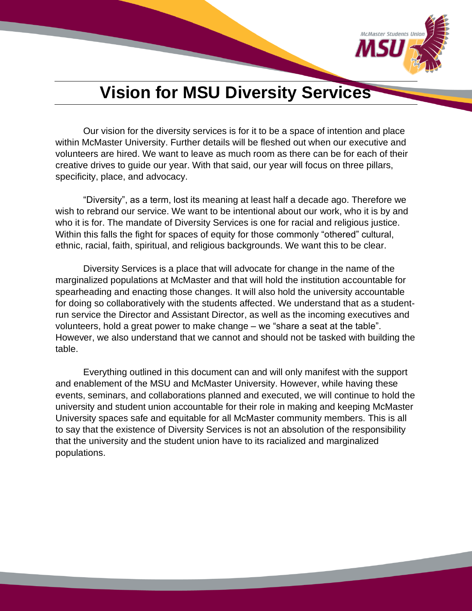

## **Vision for MSU Diversity Services**

<span id="page-3-0"></span>Our vision for the diversity services is for it to be a space of intention and place within McMaster University. Further details will be fleshed out when our executive and volunteers are hired. We want to leave as much room as there can be for each of their creative drives to guide our year. With that said, our year will focus on three pillars, specificity, place, and advocacy.

"Diversity", as a term, lost its meaning at least half a decade ago. Therefore we wish to rebrand our service. We want to be intentional about our work, who it is by and who it is for. The mandate of Diversity Services is one for racial and religious justice. Within this falls the fight for spaces of equity for those commonly "othered" cultural, ethnic, racial, faith, spiritual, and religious backgrounds. We want this to be clear.

Diversity Services is a place that will advocate for change in the name of the marginalized populations at McMaster and that will hold the institution accountable for spearheading and enacting those changes. It will also hold the university accountable for doing so collaboratively with the students affected. We understand that as a studentrun service the Director and Assistant Director, as well as the incoming executives and volunteers, hold a great power to make change – we "share a seat at the table". However, we also understand that we cannot and should not be tasked with building the table.

Everything outlined in this document can and will only manifest with the support and enablement of the MSU and McMaster University. However, while having these events, seminars, and collaborations planned and executed, we will continue to hold the university and student union accountable for their role in making and keeping McMaster University spaces safe and equitable for all McMaster community members. This is all to say that the existence of Diversity Services is not an absolution of the responsibility that the university and the student union have to its racialized and marginalized populations.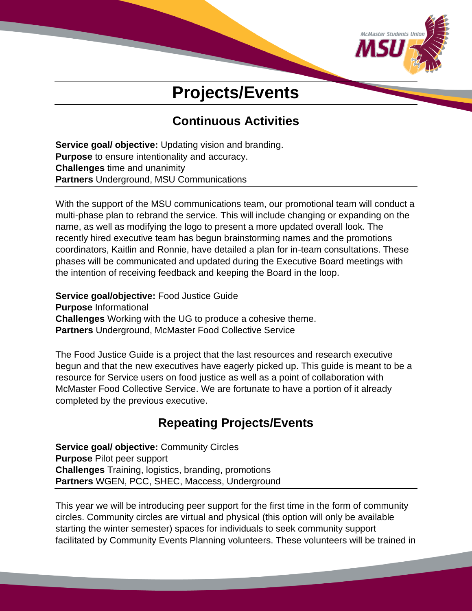

## **Projects/Events**

## **Continuous Activities**

<span id="page-4-1"></span><span id="page-4-0"></span>**Service goal/ objective:** Updating vision and branding. **Purpose** to ensure intentionality and accuracy. **Challenges** time and unanimity **Partners** Underground, MSU Communications

With the support of the MSU communications team, our promotional team will conduct a multi-phase plan to rebrand the service. This will include changing or expanding on the name, as well as modifying the logo to present a more updated overall look. The recently hired executive team has begun brainstorming names and the promotions coordinators, Kaitlin and Ronnie, have detailed a plan for in-team consultations. These phases will be communicated and updated during the Executive Board meetings with the intention of receiving feedback and keeping the Board in the loop.

**Service goal/objective:** Food Justice Guide **Purpose** Informational **Challenges** Working with the UG to produce a cohesive theme. **Partners** Underground, McMaster Food Collective Service

The Food Justice Guide is a project that the last resources and research executive begun and that the new executives have eagerly picked up. This guide is meant to be a resource for Service users on food justice as well as a point of collaboration with McMaster Food Collective Service. We are fortunate to have a portion of it already completed by the previous executive.

## **Repeating Projects/Events**

<span id="page-4-2"></span>**Service goal/ objective:** Community Circles **Purpose** Pilot peer support **Challenges** Training, logistics, branding, promotions **Partners** WGEN, PCC, SHEC, Maccess, Underground

This year we will be introducing peer support for the first time in the form of community circles. Community circles are virtual and physical (this option will only be available starting the winter semester) spaces for individuals to seek community support facilitated by Community Events Planning volunteers. These volunteers will be trained in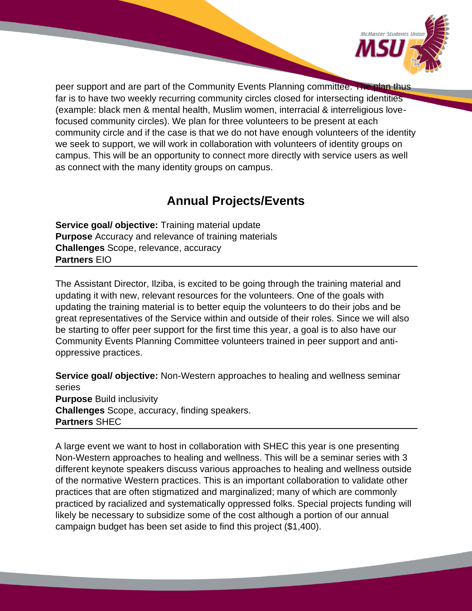

peer support and are part of the Community Events Planning committee. The plan thus far is to have two weekly recurring community circles closed for intersecting identities (example: black men & mental health, Muslim women, interracial & interreligious lovefocused community circles). We plan for three volunteers to be present at each community circle and if the case is that we do not have enough volunteers of the identity we seek to support, we will work in collaboration with volunteers of identity groups on campus. This will be an opportunity to connect more directly with service users as well as connect with the many identity groups on campus.

## **Annual Projects/Events**

<span id="page-5-0"></span>**Service goal/ objective:** Training material update **Purpose** Accuracy and relevance of training materials **Challenges** Scope, relevance, accuracy **Partners** EIO

The Assistant Director, Ilziba, is excited to be going through the training material and updating it with new, relevant resources for the volunteers. One of the goals with updating the training material is to better equip the volunteers to do their jobs and be great representatives of the Service within and outside of their roles. Since we will also be starting to offer peer support for the first time this year, a goal is to also have our Community Events Planning Committee volunteers trained in peer support and antioppressive practices.

**Service goal/ objective:** Non-Western approaches to healing and wellness seminar series **Purpose** Build inclusivity **Challenges** Scope, accuracy, finding speakers. **Partners** SHEC

A large event we want to host in collaboration with SHEC this year is one presenting Non-Western approaches to healing and wellness. This will be a seminar series with 3 different keynote speakers discuss various approaches to healing and wellness outside of the normative Western practices. This is an important collaboration to validate other practices that are often stigmatized and marginalized; many of which are commonly practiced by racialized and systematically oppressed folks. Special projects funding will likely be necessary to subsidize some of the cost although a portion of our annual campaign budget has been set aside to find this project (\$1,400).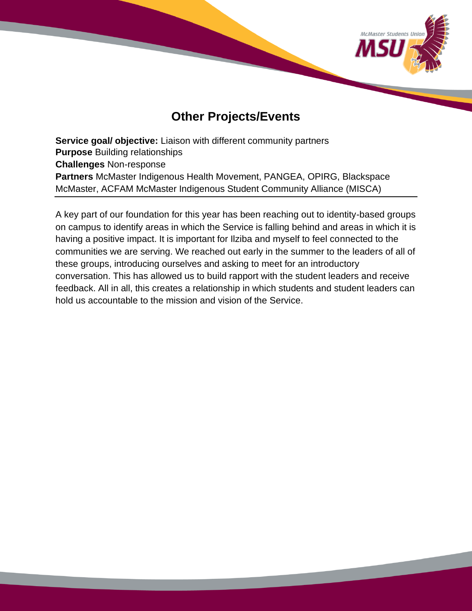

### **Other Projects/Events**

<span id="page-6-0"></span>**Service goal/ objective:** Liaison with different community partners **Purpose** Building relationships **Challenges** Non-response **Partners** McMaster Indigenous Health Movement, PANGEA, OPIRG, Blackspace McMaster, ACFAM McMaster Indigenous Student Community Alliance (MISCA)

A key part of our foundation for this year has been reaching out to identity-based groups on campus to identify areas in which the Service is falling behind and areas in which it is having a positive impact. It is important for Ilziba and myself to feel connected to the communities we are serving. We reached out early in the summer to the leaders of all of these groups, introducing ourselves and asking to meet for an introductory conversation. This has allowed us to build rapport with the student leaders and receive feedback. All in all, this creates a relationship in which students and student leaders can hold us accountable to the mission and vision of the Service.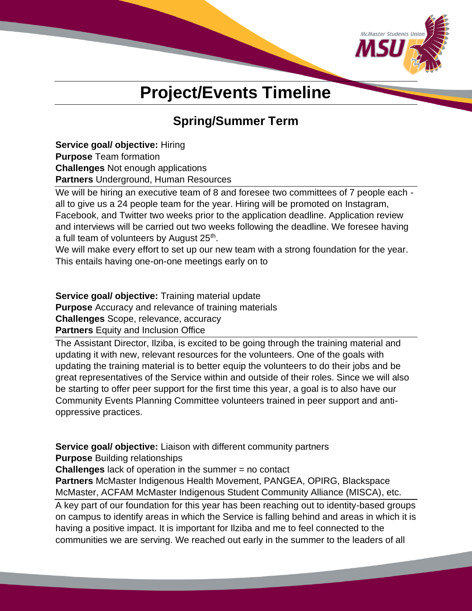

## **Project/Events Timeline**

## **Spring/Summer Term**

<span id="page-7-1"></span><span id="page-7-0"></span>**Service goal/ objective:** Hiring **Purpose** Team formation **Challenges** Not enough applications

**Partners** Underground, Human Resources

We will be hiring an executive team of 8 and foresee two committees of 7 people each all to give us a 24 people team for the year. Hiring will be promoted on Instagram, Facebook, and Twitter two weeks prior to the application deadline. Application review and interviews will be carried out two weeks following the deadline. We foresee having a full team of volunteers by August 25<sup>th</sup>.

We will make every effort to set up our new team with a strong foundation for the year. This entails having one-on-one meetings early on to

**Service goal/ objective:** Training material update

**Purpose** Accuracy and relevance of training materials

**Challenges** Scope, relevance, accuracy

**Partners** Equity and Inclusion Office

The Assistant Director, Ilziba, is excited to be going through the training material and updating it with new, relevant resources for the volunteers. One of the goals with updating the training material is to better equip the volunteers to do their jobs and be great representatives of the Service within and outside of their roles. Since we will also be starting to offer peer support for the first time this year, a goal is to also have our Community Events Planning Committee volunteers trained in peer support and antioppressive practices.

**Service goal/ objective:** Liaison with different community partners

**Purpose** Building relationships **Challenges** lack of operation in the summer = no contact

**Partners** McMaster Indigenous Health Movement, PANGEA, OPIRG, Blackspace McMaster, ACFAM McMaster Indigenous Student Community Alliance (MISCA), etc.

A key part of our foundation for this year has been reaching out to identity-based groups on campus to identify areas in which the Service is falling behind and areas in which it is having a positive impact. It is important for Ilziba and me to feel connected to the communities we are serving. We reached out early in the summer to the leaders of all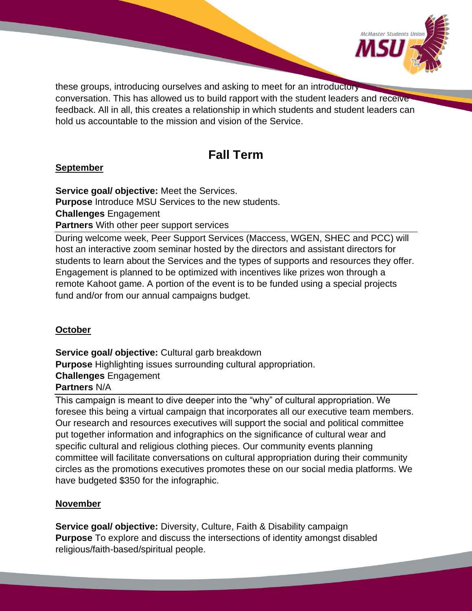

these groups, introducing ourselves and asking to meet for an introductory conversation. This has allowed us to build rapport with the student leaders and receive feedback. All in all, this creates a relationship in which students and student leaders can hold us accountable to the mission and vision of the Service.

## **Fall Term**

### <span id="page-8-0"></span>**September**

**Service goal/ objective:** Meet the Services. **Purpose** Introduce MSU Services to the new students. **Challenges** Engagement **Partners** With other peer support services

During welcome week, Peer Support Services (Maccess, WGEN, SHEC and PCC) will host an interactive zoom seminar hosted by the directors and assistant directors for students to learn about the Services and the types of supports and resources they offer. Engagement is planned to be optimized with incentives like prizes won through a remote Kahoot game. A portion of the event is to be funded using a special projects fund and/or from our annual campaigns budget.

### **October**

**Service goal/ objective: Cultural garb breakdown Purpose** Highlighting issues surrounding cultural appropriation. **Challenges** Engagement **Partners** N/A

This campaign is meant to dive deeper into the "why" of cultural appropriation. We foresee this being a virtual campaign that incorporates all our executive team members. Our research and resources executives will support the social and political committee put together information and infographics on the significance of cultural wear and specific cultural and religious clothing pieces. Our community events planning committee will facilitate conversations on cultural appropriation during their community circles as the promotions executives promotes these on our social media platforms. We have budgeted \$350 for the infographic.

### **November**

**Service goal/ objective:** Diversity, Culture, Faith & Disability campaign **Purpose** To explore and discuss the intersections of identity amongst disabled religious/faith-based/spiritual people.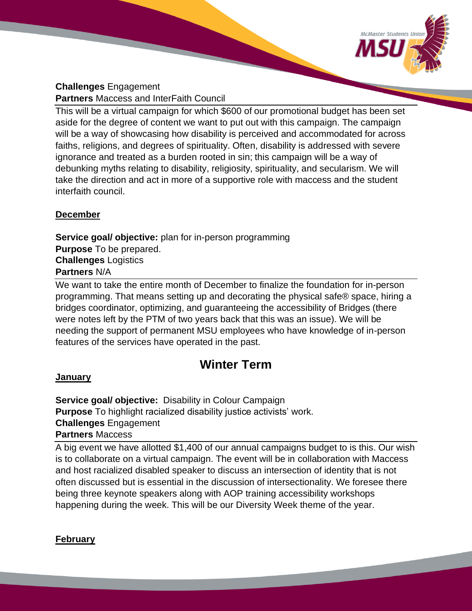

#### **Challenges** Engagement **Partners** Maccess and InterFaith Council

This will be a virtual campaign for which \$600 of our promotional budget has been set aside for the degree of content we want to put out with this campaign. The campaign will be a way of showcasing how disability is perceived and accommodated for across faiths, religions, and degrees of spirituality. Often, disability is addressed with severe ignorance and treated as a burden rooted in sin; this campaign will be a way of debunking myths relating to disability, religiosity, spirituality, and secularism. We will take the direction and act in more of a supportive role with maccess and the student interfaith council.

#### **December**

**Service goal/ objective:** plan for in-person programming **Purpose** To be prepared. **Challenges** Logistics **Partners** N/A

We want to take the entire month of December to finalize the foundation for in-person programming. That means setting up and decorating the physical safe® space, hiring a bridges coordinator, optimizing, and guaranteeing the accessibility of Bridges (there were notes left by the PTM of two years back that this was an issue). We will be needing the support of permanent MSU employees who have knowledge of in-person features of the services have operated in the past.

### **Winter Term**

#### <span id="page-9-0"></span>**January**

**Service goal/ objective:** Disability in Colour Campaign **Purpose** To highlight racialized disability justice activists' work. **Challenges** Engagement

**Partners** Maccess

A big event we have allotted \$1,400 of our annual campaigns budget to is this. Our wish is to collaborate on a virtual campaign. The event will be in collaboration with Maccess and host racialized disabled speaker to discuss an intersection of identity that is not often discussed but is essential in the discussion of intersectionality. We foresee there being three keynote speakers along with AOP training accessibility workshops happening during the week. This will be our Diversity Week theme of the year.

#### **February**